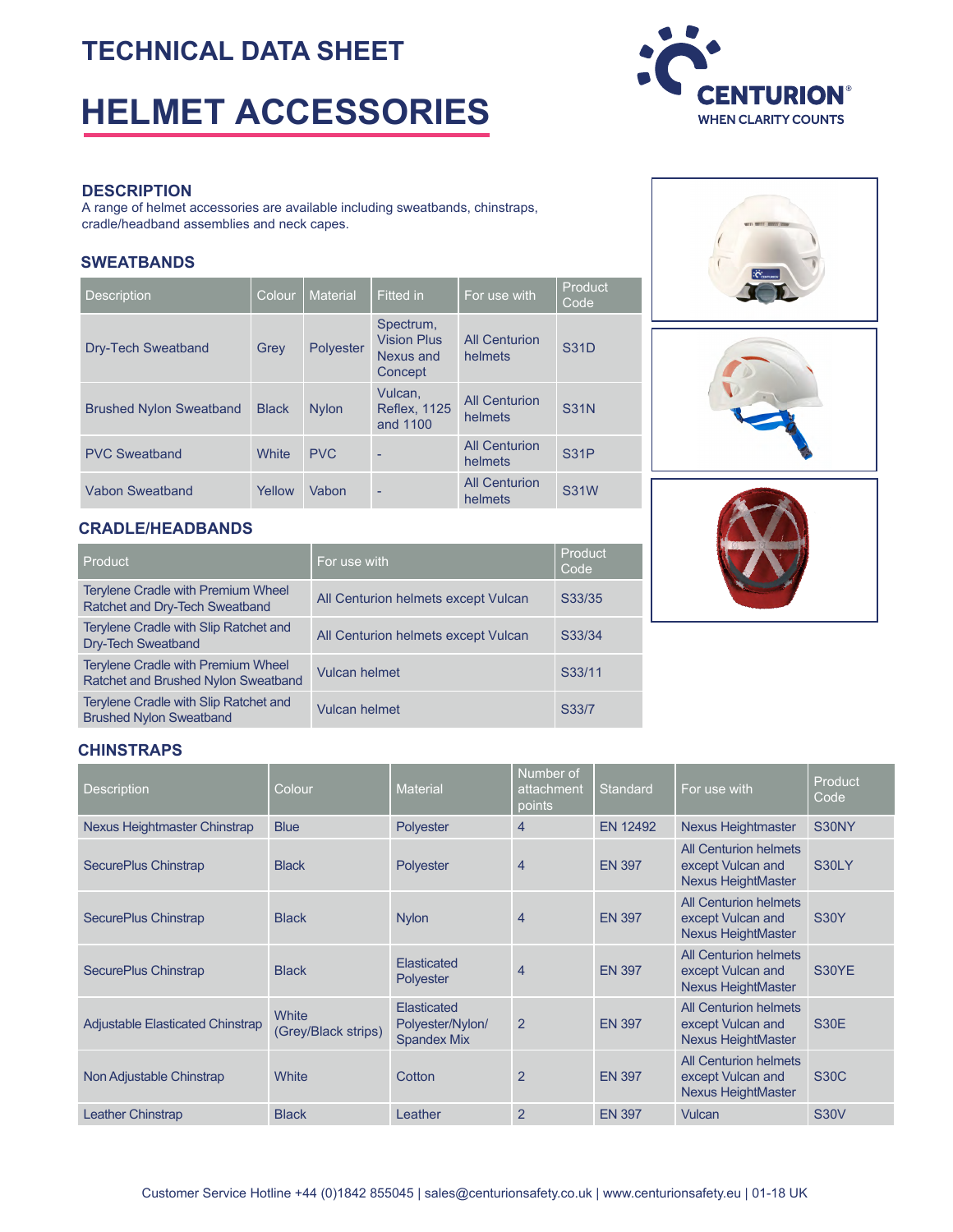## **TECHNICAL DATA SHEET**

# **HELMET ACCESSORIES**



#### **DESCRIPTION**

A range of helmet accessories are available including sweatbands, chinstraps, cradle/headband assemblies and neck capes.

#### **SWEATBANDS**

| <b>Description</b>             | Colour       | <b>Material</b> | <b>Fitted in</b>                                        | For use with                    | Product<br>Code |
|--------------------------------|--------------|-----------------|---------------------------------------------------------|---------------------------------|-----------------|
| <b>Dry-Tech Sweatband</b>      | Grey         | Polyester       | Spectrum,<br><b>Vision Plus</b><br>Nexus and<br>Concept | <b>All Centurion</b><br>helmets | <b>S31D</b>     |
| <b>Brushed Nylon Sweatband</b> | <b>Black</b> | <b>Nylon</b>    | Vulcan,<br><b>Reflex, 1125</b><br>and 1100              | <b>All Centurion</b><br>helmets | <b>S31N</b>     |
| <b>PVC Sweatband</b>           | White        | <b>PVC</b>      |                                                         | <b>All Centurion</b><br>helmets | <b>S31P</b>     |
| Vabon Sweatband                | Yellow       | Vabon           | ۰                                                       | <b>All Centurion</b><br>helmets | <b>S31W</b>     |

#### **CRADLE/HEADBANDS**

| Product                                                                          | For use with                        | Product<br>Code |
|----------------------------------------------------------------------------------|-------------------------------------|-----------------|
| <b>Terylene Cradle with Premium Wheel</b><br>Ratchet and Dry-Tech Sweatband      | All Centurion helmets except Vulcan | S33/35          |
| Terylene Cradle with Slip Ratchet and<br>Dry-Tech Sweatband                      | All Centurion helmets except Vulcan | S33/34          |
| <b>Terylene Cradle with Premium Wheel</b><br>Ratchet and Brushed Nylon Sweatband | <b>Vulcan helmet</b>                | S33/11          |
| Terylene Cradle with Slip Ratchet and<br><b>Brushed Nylon Sweatband</b>          | <b>Vulcan helmet</b>                | S33/7           |







#### **CHINSTRAPS**

| <b>Description</b>                      | Colour                       | <b>Material</b>                                       | Number of<br>attachment<br>points | Standard        | For use with                                                                   | Product<br>Code |
|-----------------------------------------|------------------------------|-------------------------------------------------------|-----------------------------------|-----------------|--------------------------------------------------------------------------------|-----------------|
| Nexus Heightmaster Chinstrap            | <b>Blue</b>                  | Polyester                                             | $\overline{4}$                    | <b>EN 12492</b> | <b>Nexus Heightmaster</b>                                                      | S30NY           |
| SecurePlus Chinstrap                    | <b>Black</b>                 | <b>Polyester</b>                                      | 4                                 | <b>EN 397</b>   | All Centurion helmets<br>except Vulcan and<br><b>Nexus HeightMaster</b>        | S30LY           |
| SecurePlus Chinstrap                    | <b>Black</b>                 | <b>Nylon</b>                                          | $\overline{4}$                    | <b>EN 397</b>   | <b>All Centurion helmets</b><br>except Vulcan and<br><b>Nexus HeightMaster</b> | <b>S30Y</b>     |
| <b>SecurePlus Chinstrap</b>             | <b>Black</b>                 | Elasticated<br><b>Polyester</b>                       | $\overline{4}$                    | <b>EN 397</b>   | All Centurion helmets<br>except Vulcan and<br><b>Nexus HeightMaster</b>        | S30YE           |
| <b>Adjustable Elasticated Chinstrap</b> | White<br>(Grey/Black strips) | Elasticated<br>Polyester/Nylon/<br><b>Spandex Mix</b> | $\overline{2}$                    | <b>EN 397</b>   | <b>All Centurion helmets</b><br>except Vulcan and<br><b>Nexus HeightMaster</b> | <b>S30E</b>     |
| Non Adjustable Chinstrap                | White                        | Cotton                                                | $\overline{2}$                    | <b>EN 397</b>   | All Centurion helmets<br>except Vulcan and<br><b>Nexus HeightMaster</b>        | <b>S30C</b>     |
| <b>Leather Chinstrap</b>                | <b>Black</b>                 | Leather                                               | $\mathbf{2}$                      | <b>EN 397</b>   | Vulcan                                                                         | <b>S30V</b>     |